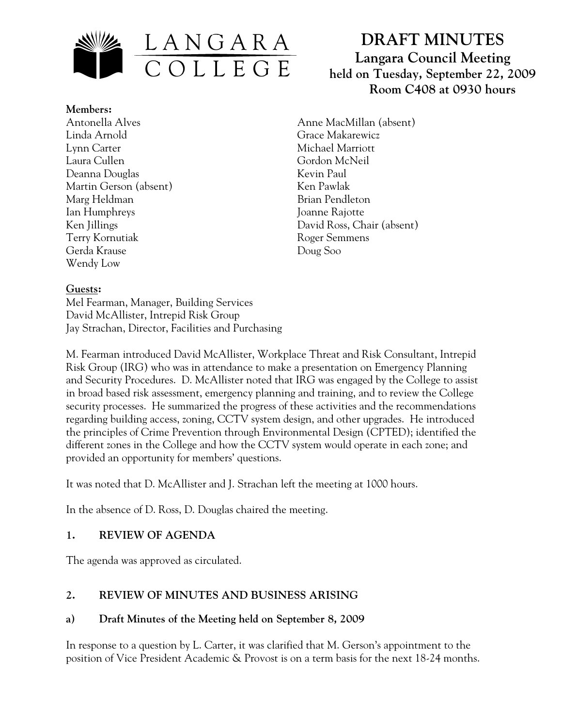

**Members:** Antonella Alves Linda Arnold Lynn Carter Laura Cullen Deanna Douglas Martin Gerson (absent) Marg Heldman Ian Humphreys Ken Jillings Terry Kornutiak Gerda Krause Wendy Low

# **DRAFT MINUTES Langara Council Meeting held on Tuesday, September 22, 2009 Room C408 at 0930 hours**

Anne MacMillan (absent) Grace Makarewicz Michael Marriott Gordon McNeil Kevin Paul Ken Pawlak Brian Pendleton Joanne Rajotte David Ross, Chair (absent) Roger Semmens Doug Soo

## **Guests:**

Mel Fearman, Manager, Building Services David McAllister, Intrepid Risk Group Jay Strachan, Director, Facilities and Purchasing

M. Fearman introduced David McAllister, Workplace Threat and Risk Consultant, Intrepid Risk Group (IRG) who was in attendance to make a presentation on Emergency Planning and Security Procedures. D. McAllister noted that IRG was engaged by the College to assist in broad based risk assessment, emergency planning and training, and to review the College security processes. He summarized the progress of these activities and the recommendations regarding building access, zoning, CCTV system design, and other upgrades. He introduced the principles of Crime Prevention through Environmental Design (CPTED); identified the different zones in the College and how the CCTV system would operate in each zone; and provided an opportunity for members' questions.

It was noted that D. McAllister and J. Strachan left the meeting at 1000 hours.

In the absence of D. Ross, D. Douglas chaired the meeting.

## **1. REVIEW OF AGENDA**

The agenda was approved as circulated.

## **2. REVIEW OF MINUTES AND BUSINESS ARISING**

#### **a) Draft Minutes of the Meeting held on September 8, 2009**

In response to a question by L. Carter, it was clarified that M. Gerson's appointment to the position of Vice President Academic & Provost is on a term basis for the next 18-24 months.